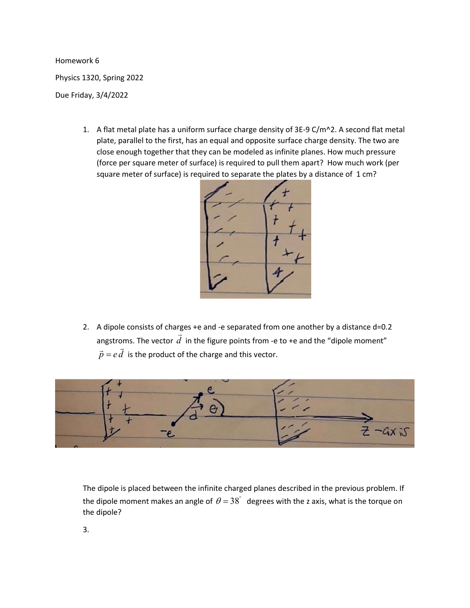Homework 6

Physics 1320, Spring 2022

Due Friday, 3/4/2022

1. A flat metal plate has a uniform surface charge density of  $3E-9 C/m^2$ . A second flat metal plate, parallel to the first, has an equal and opposite surface charge density. The two are close enough together that they can be modeled as infinite planes. How much pressure (force per square meter of surface) is required to pull them apart? How much work (per square meter of surface) is required to separate the plates by a distance of 1 cm?



2. A dipole consists of charges +e and -e separated from one another by a distance d=0.2 angstroms. The vector  $d$  $\frac{1}{1}$  in the figure points from -e to +e and the "dipole moment"  $\vec{p} = e\vec{d}$  is the product of the charge and this vector.



The dipole is placed between the infinite charged planes described in the previous problem. If the dipole moment makes an angle of  $\theta = 38^\circ$  degrees with the z axis, what is the torque on the dipole?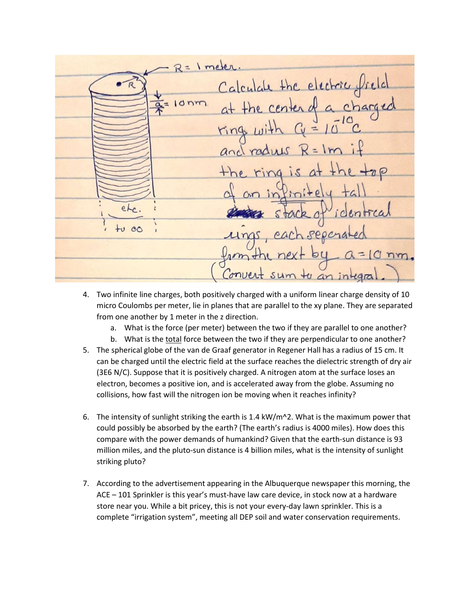$R = 1$  meter Calculate the electric field  $10nm$  $\overline{\alpha}$  $\frac{1}{2}$ ring and rady  $\neg$ etr. icl  $+0.00$  $PPO$ nm. Convert sum to an integr

- 4. Two infinite line charges, both positively charged with a uniform linear charge density of 10 micro Coulombs per meter, lie in planes that are parallel to the xy plane. They are separated from one another by 1 meter in the z direction.
	- a. What is the force (per meter) between the two if they are parallel to one another?
	- b. What is the total force between the two if they are perpendicular to one another?
- 5. The spherical globe of the van de Graaf generator in Regener Hall has a radius of 15 cm. It can be charged until the electric field at the surface reaches the dielectric strength of dry air (3E6 N/C). Suppose that it is positively charged. A nitrogen atom at the surface loses an electron, becomes a positive ion, and is accelerated away from the globe. Assuming no collisions, how fast will the nitrogen ion be moving when it reaches infinity?
- 6. The intensity of sunlight striking the earth is 1.4 kW/m^2. What is the maximum power that could possibly be absorbed by the earth? (The earth's radius is 4000 miles). How does this compare with the power demands of humankind? Given that the earth-sun distance is 93 million miles, and the pluto-sun distance is 4 billion miles, what is the intensity of sunlight striking pluto?
- 7. According to the advertisement appearing in the Albuquerque newspaper this morning, the ACE – 101 Sprinkler is this year's must-have law care device, in stock now at a hardware store near you. While a bit pricey, this is not your every-day lawn sprinkler. This is a complete "irrigation system", meeting all DEP soil and water conservation requirements.